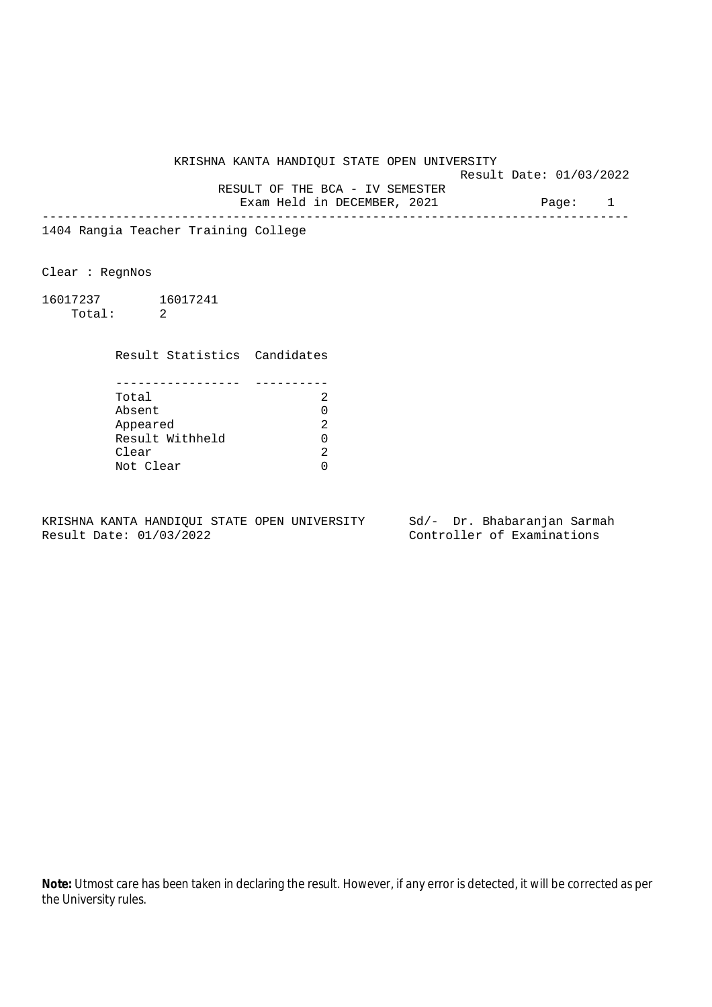KRISHNA KANTA HANDIQUI STATE OPEN UNIVERSITY Result Date: 01/03/2022 RESULT OF THE BCA - IV SEMESTER Exam Held in DECEMBER, 2021 Page: 1 --------------------------------------------------------------------------------

1404 Rangia Teacher Training College

Clear : RegnNos

16017237 16017241 Total: 2

Result Statistics Candidates

| Total           |  |
|-----------------|--|
| Absent          |  |
| Appeared        |  |
| Result Withheld |  |
| Clear           |  |
| Not Clear       |  |

KRISHNA KANTA HANDIQUI STATE OPEN UNIVERSITY Sd/- Dr. Bhabaranjan Sarmah Result Date: 01/03/2022 Controller of Examinations

**Note:** Utmost care has been taken in declaring the result. However, if any error is detected, it will be corrected as per the University rules.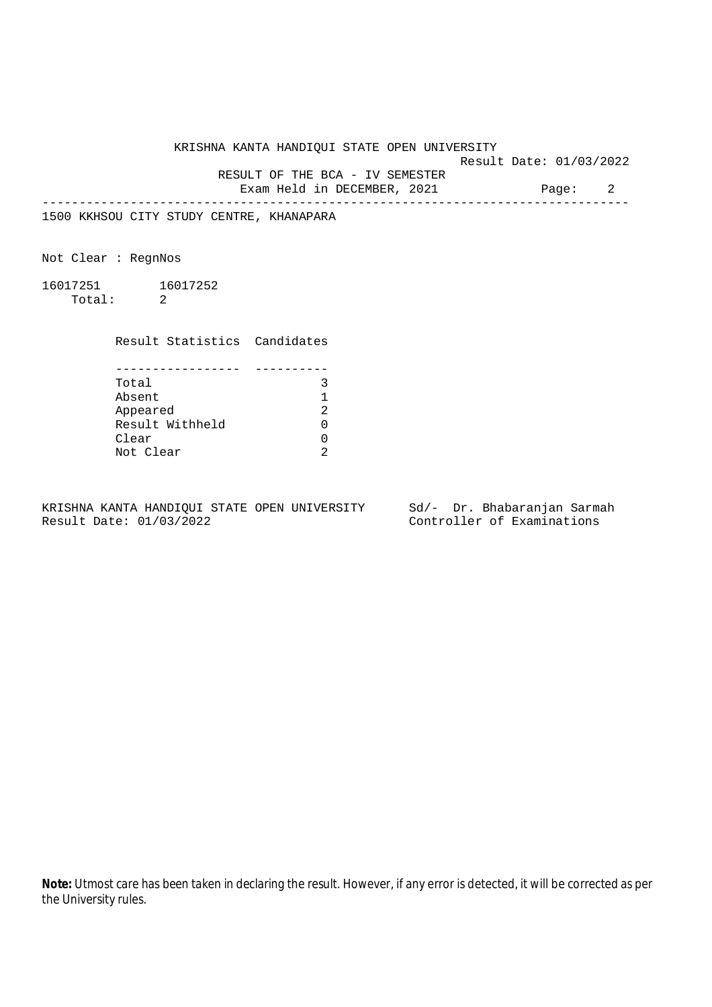KRISHNA KANTA HANDIQUI STATE OPEN UNIVERSITY

Result Date: 01/03/2022

 RESULT OF THE BCA - IV SEMESTER Exam Held in DECEMBER, 2021 Page: 2

--------------------------------------------------------------------------------

1500 KKHSOU CITY STUDY CENTRE, KHANAPARA

Not Clear : RegnNos

16017251 16017252 Total: 2

Result Statistics Candidates

| Total           |   |
|-----------------|---|
| Absent          |   |
| Appeared        | っ |
| Result Withheld |   |
| Clear           |   |
| Not Clear       |   |

KRISHNA KANTA HANDIQUI STATE OPEN UNIVERSITY Sd/- Dr. Bhabaranjan Sarmah Result Date: 01/03/2022 Controller of Examinations

**Note:** Utmost care has been taken in declaring the result. However, if any error is detected, it will be corrected as per the University rules.